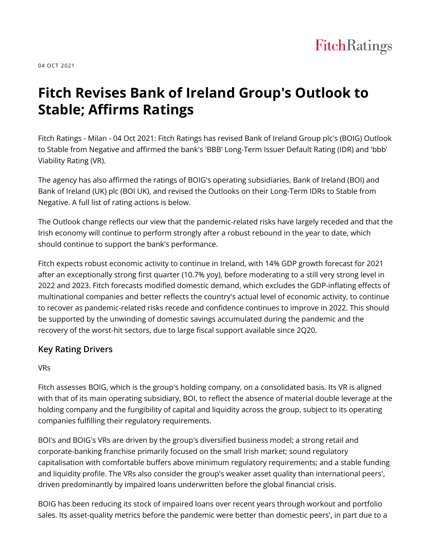

04 OCT 2021

# **Fitch Revises Bank of Ireland Group's Outlook to Stable; Affirms Ratings**

Fitch Ratings - Milan - 04 Oct 2021: Fitch Ratings has revised Bank of Ireland Group plc's (BOIG) Outlook to Stable from Negative and affirmed the bank's 'BBB' Long-Term Issuer Default Rating (IDR) and 'bbb' Viability Rating (VR).

The agency has also affirmed the ratings of BOIG's operating subsidiaries, Bank of Ireland (BOI) and Bank of Ireland (UK) plc (BOI UK), and revised the Outlooks on their Long-Term IDRs to Stable from Negative. A full list of rating actions is below.

The Outlook change reflects our view that the pandemic-related risks have largely receded and that the Irish economy will continue to perform strongly after a robust rebound in the year to date, which should continue to support the bank's performance.

Fitch expects robust economic activity to continue in Ireland, with 14% GDP growth forecast for 2021 after an exceptionally strong first quarter (10.7% yoy), before moderating to a still very strong level in 2022 and 2023. Fitch forecasts modified domestic demand, which excludes the GDP-inflating effects of multinational companies and better reflects the country's actual level of economic activity, to continue to recover as pandemic-related risks recede and confidence continues to improve in 2022. This should be supported by the unwinding of domestic savings accumulated during the pandemic and the recovery of the worst-hit sectors, due to large fiscal support available since 2Q20.

# **Key Rating Drivers**

VRs

Fitch assesses BOIG, which is the group's holding company, on a consolidated basis. Its VR is aligned with that of its main operating subsidiary, BOI, to reflect the absence of material double leverage at the holding company and the fungibility of capital and liquidity across the group, subject to its operating companies fulfilling their regulatory requirements.

BOI's and BOIG's VRs are driven by the group's diversified business model; a strong retail and corporate-banking franchise primarily focused on the small Irish market; sound regulatory capitalisation with comfortable buffers above minimum regulatory requirements; and a stable funding and liquidity profile. The VRs also consider the group's weaker asset quality than international peers', driven predominantly by impaired loans underwritten before the global financial crisis.

BOIG has been reducing its stock of impaired loans over recent years through workout and portfolio sales. Its asset-quality metrics before the pandemic were better than domestic peers', in part due to a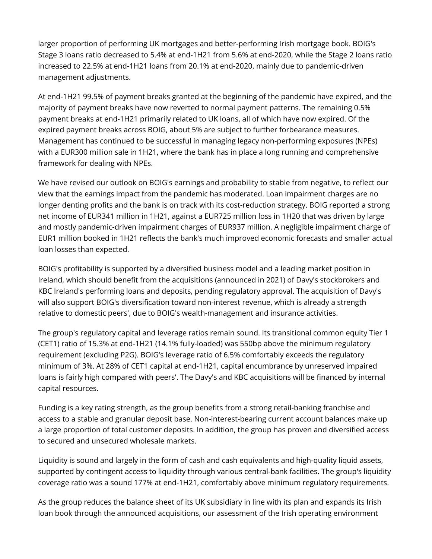larger proportion of performing UK mortgages and better-performing Irish mortgage book. BOIG's Stage 3 loans ratio decreased to 5.4% at end-1H21 from 5.6% at end-2020, while the Stage 2 loans ratio increased to 22.5% at end-1H21 loans from 20.1% at end-2020, mainly due to pandemic-driven management adjustments.

At end-1H21 99.5% of payment breaks granted at the beginning of the pandemic have expired, and the majority of payment breaks have now reverted to normal payment patterns. The remaining 0.5% payment breaks at end-1H21 primarily related to UK loans, all of which have now expired. Of the expired payment breaks across BOIG, about 5% are subject to further forbearance measures. Management has continued to be successful in managing legacy non-performing exposures (NPEs) with a EUR300 million sale in 1H21, where the bank has in place a long running and comprehensive framework for dealing with NPEs.

We have revised our outlook on BOIG's earnings and probability to stable from negative, to reflect our view that the earnings impact from the pandemic has moderated. Loan impairment charges are no longer denting profits and the bank is on track with its cost-reduction strategy. BOIG reported a strong net income of EUR341 million in 1H21, against a EUR725 million loss in 1H20 that was driven by large and mostly pandemic-driven impairment charges of EUR937 million. A negligible impairment charge of EUR1 million booked in 1H21 reflects the bank's much improved economic forecasts and smaller actual loan losses than expected.

BOIG's profitability is supported by a diversified business model and a leading market position in Ireland, which should benefit from the acquisitions (announced in 2021) of Davy's stockbrokers and KBC Ireland's performing loans and deposits, pending regulatory approval. The acquisition of Davy's will also support BOIG's diversification toward non-interest revenue, which is already a strength relative to domestic peers', due to BOIG's wealth-management and insurance activities.

The group's regulatory capital and leverage ratios remain sound. Its transitional common equity Tier 1 (CET1) ratio of 15.3% at end-1H21 (14.1% fully-loaded) was 550bp above the minimum regulatory requirement (excluding P2G). BOIG's leverage ratio of 6.5% comfortably exceeds the regulatory minimum of 3%. At 28% of CET1 capital at end-1H21, capital encumbrance by unreserved impaired loans is fairly high compared with peers'. The Davy's and KBC acquisitions will be financed by internal capital resources.

Funding is a key rating strength, as the group benefits from a strong retail-banking franchise and access to a stable and granular deposit base. Non-interest-bearing current account balances make up a large proportion of total customer deposits. In addition, the group has proven and diversified access to secured and unsecured wholesale markets.

Liquidity is sound and largely in the form of cash and cash equivalents and high-quality liquid assets, supported by contingent access to liquidity through various central-bank facilities. The group's liquidity coverage ratio was a sound 177% at end-1H21, comfortably above minimum regulatory requirements.

As the group reduces the balance sheet of its UK subsidiary in line with its plan and expands its Irish loan book through the announced acquisitions, our assessment of the Irish operating environment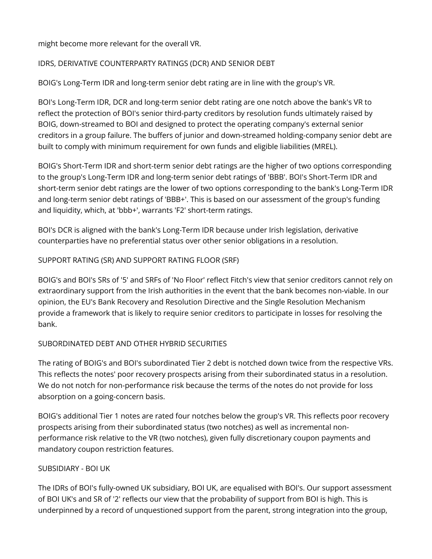might become more relevant for the overall VR.

#### IDRS, DERIVATIVE COUNTERPARTY RATINGS (DCR) AND SENIOR DEBT

BOIG's Long-Term IDR and long-term senior debt rating are in line with the group's VR.

BOI's Long-Term IDR, DCR and long-term senior debt rating are one notch above the bank's VR to reflect the protection of BOI's senior third-party creditors by resolution funds ultimately raised by BOIG, down-streamed to BOI and designed to protect the operating company's external senior creditors in a group failure. The buffers of junior and down-streamed holding-company senior debt are built to comply with minimum requirement for own funds and eligible liabilities (MREL).

BOIG's Short-Term IDR and short-term senior debt ratings are the higher of two options corresponding to the group's Long-Term IDR and long-term senior debt ratings of 'BBB'. BOI's Short-Term IDR and short-term senior debt ratings are the lower of two options corresponding to the bank's Long-Term IDR and long-term senior debt ratings of 'BBB+'. This is based on our assessment of the group's funding and liquidity, which, at 'bbb+', warrants 'F2' short-term ratings.

BOI's DCR is aligned with the bank's Long-Term IDR because under Irish legislation, derivative counterparties have no preferential status over other senior obligations in a resolution.

#### SUPPORT RATING (SR) AND SUPPORT RATING FLOOR (SRF)

BOIG's and BOI's SRs of '5' and SRFs of 'No Floor' reflect Fitch's view that senior creditors cannot rely on extraordinary support from the Irish authorities in the event that the bank becomes non-viable. In our opinion, the EU's Bank Recovery and Resolution Directive and the Single Resolution Mechanism provide a framework that is likely to require senior creditors to participate in losses for resolving the bank.

#### SUBORDINATED DEBT AND OTHER HYBRID SECURITIES

The rating of BOIG's and BOI's subordinated Tier 2 debt is notched down twice from the respective VRs. This reflects the notes' poor recovery prospects arising from their subordinated status in a resolution. We do not notch for non-performance risk because the terms of the notes do not provide for loss absorption on a going-concern basis.

BOIG's additional Tier 1 notes are rated four notches below the group's VR. This reflects poor recovery prospects arising from their subordinated status (two notches) as well as incremental nonperformance risk relative to the VR (two notches), given fully discretionary coupon payments and mandatory coupon restriction features.

#### SUBSIDIARY - BOI UK

The IDRs of BOI's fully-owned UK subsidiary, BOI UK, are equalised with BOI's. Our support assessment of BOI UK's and SR of '2' reflects our view that the probability of support from BOI is high. This is underpinned by a record of unquestioned support from the parent, strong integration into the group,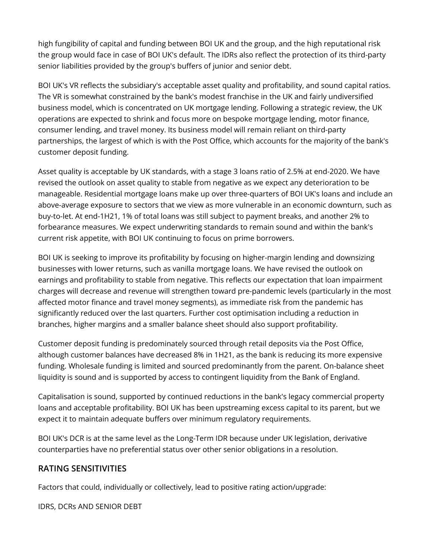high fungibility of capital and funding between BOI UK and the group, and the high reputational risk the group would face in case of BOI UK's default. The IDRs also reflect the protection of its third-party senior liabilities provided by the group's buffers of junior and senior debt.

BOI UK's VR reflects the subsidiary's acceptable asset quality and profitability, and sound capital ratios. The VR is somewhat constrained by the bank's modest franchise in the UK and fairly undiversified business model, which is concentrated on UK mortgage lending. Following a strategic review, the UK operations are expected to shrink and focus more on bespoke mortgage lending, motor finance, consumer lending, and travel money. Its business model will remain reliant on third-party partnerships, the largest of which is with the Post Office, which accounts for the majority of the bank's customer deposit funding.

Asset quality is acceptable by UK standards, with a stage 3 loans ratio of 2.5% at end-2020. We have revised the outlook on asset quality to stable from negative as we expect any deterioration to be manageable. Residential mortgage loans make up over three-quarters of BOI UK's loans and include an above-average exposure to sectors that we view as more vulnerable in an economic downturn, such as buy-to-let. At end-1H21, 1% of total loans was still subject to payment breaks, and another 2% to forbearance measures. We expect underwriting standards to remain sound and within the bank's current risk appetite, with BOI UK continuing to focus on prime borrowers.

BOI UK is seeking to improve its profitability by focusing on higher-margin lending and downsizing businesses with lower returns, such as vanilla mortgage loans. We have revised the outlook on earnings and profitability to stable from negative. This reflects our expectation that loan impairment charges will decrease and revenue will strengthen toward pre-pandemic levels (particularly in the most affected motor finance and travel money segments), as immediate risk from the pandemic has significantly reduced over the last quarters. Further cost optimisation including a reduction in branches, higher margins and a smaller balance sheet should also support profitability.

Customer deposit funding is predominately sourced through retail deposits via the Post Office, although customer balances have decreased 8% in 1H21, as the bank is reducing its more expensive funding. Wholesale funding is limited and sourced predominantly from the parent. On-balance sheet liquidity is sound and is supported by access to contingent liquidity from the Bank of England.

Capitalisation is sound, supported by continued reductions in the bank's legacy commercial property loans and acceptable profitability. BOI UK has been upstreaming excess capital to its parent, but we expect it to maintain adequate buffers over minimum regulatory requirements.

BOI UK's DCR is at the same level as the Long-Term IDR because under UK legislation, derivative counterparties have no preferential status over other senior obligations in a resolution.

## **RATING SENSITIVITIES**

Factors that could, individually or collectively, lead to positive rating action/upgrade:

IDRS, DCRs AND SENIOR DEBT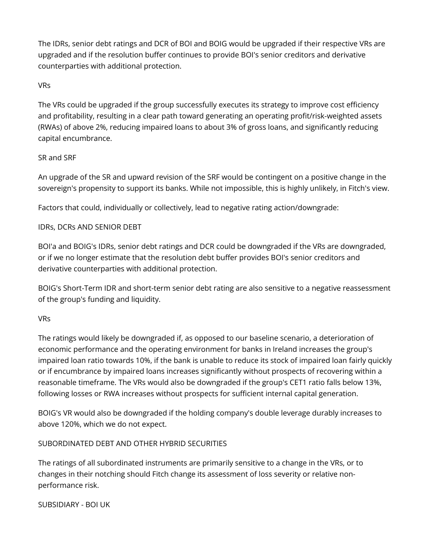The IDRs, senior debt ratings and DCR of BOI and BOIG would be upgraded if their respective VRs are upgraded and if the resolution buffer continues to provide BOI's senior creditors and derivative counterparties with additional protection.

#### VRs

The VRs could be upgraded if the group successfully executes its strategy to improve cost efficiency and profitability, resulting in a clear path toward generating an operating profit/risk-weighted assets (RWAs) of above 2%, reducing impaired loans to about 3% of gross loans, and significantly reducing capital encumbrance.

#### SR and SRF

An upgrade of the SR and upward revision of the SRF would be contingent on a positive change in the sovereign's propensity to support its banks. While not impossible, this is highly unlikely, in Fitch's view.

Factors that could, individually or collectively, lead to negative rating action/downgrade:

#### IDRs, DCRs AND SENIOR DEBT

BOI'a and BOIG's IDRs, senior debt ratings and DCR could be downgraded if the VRs are downgraded, or if we no longer estimate that the resolution debt buffer provides BOI's senior creditors and derivative counterparties with additional protection.

BOIG's Short-Term IDR and short-term senior debt rating are also sensitive to a negative reassessment of the group's funding and liquidity.

#### VRs

The ratings would likely be downgraded if, as opposed to our baseline scenario, a deterioration of economic performance and the operating environment for banks in Ireland increases the group's impaired loan ratio towards 10%, if the bank is unable to reduce its stock of impaired loan fairly quickly or if encumbrance by impaired loans increases significantly without prospects of recovering within a reasonable timeframe. The VRs would also be downgraded if the group's CET1 ratio falls below 13%, following losses or RWA increases without prospects for sufficient internal capital generation.

BOIG's VR would also be downgraded if the holding company's double leverage durably increases to above 120%, which we do not expect.

#### SUBORDINATED DEBT AND OTHER HYBRID SECURITIES

The ratings of all subordinated instruments are primarily sensitive to a change in the VRs, or to changes in their notching should Fitch change its assessment of loss severity or relative nonperformance risk.

SUBSIDIARY - BOI UK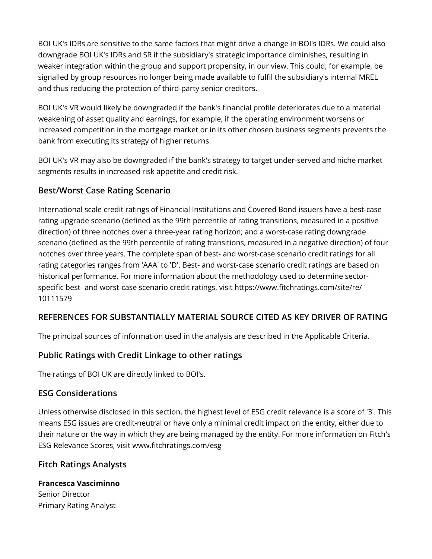BOI UK's IDRs are sensitive to the same factors that might drive a change in BOI's IDRs. We could also downgrade BOI UK's IDRs and SR if the subsidiary's strategic importance diminishes, resulting in weaker integration within the group and support propensity, in our view. This could, for example, be signalled by group resources no longer being made available to fulfil the subsidiary's internal MREL and thus reducing the protection of third-party senior creditors.

BOI UK's VR would likely be downgraded if the bank's financial profile deteriorates due to a material weakening of asset quality and earnings, for example, if the operating environment worsens or increased competition in the mortgage market or in its other chosen business segments prevents the bank from executing its strategy of higher returns.

BOI UK's VR may also be downgraded if the bank's strategy to target under-served and niche market segments results in increased risk appetite and credit risk.

## **Best/Worst Case Rating Scenario**

International scale credit ratings of Financial Institutions and Covered Bond issuers have a best-case rating upgrade scenario (defined as the 99th percentile of rating transitions, measured in a positive direction) of three notches over a three-year rating horizon; and a worst-case rating downgrade scenario (defined as the 99th percentile of rating transitions, measured in a negative direction) of four notches over three years. The complete span of best- and worst-case scenario credit ratings for all rating categories ranges from 'AAA' to 'D'. Best- and worst-case scenario credit ratings are based on historical performance. For more information about the methodology used to determine sectorspecific best- and worst-case scenario credit ratings, visit https://www.fitchratings.com/site/re/ 10111579

# **REFERENCES FOR SUBSTANTIALLY MATERIAL SOURCE CITED AS KEY DRIVER OF RATING**

The principal sources of information used in the analysis are described in the Applicable Criteria.

# **Public Ratings with Credit Linkage to other ratings**

The ratings of BOI UK are directly linked to BOI's.

# **ESG Considerations**

Unless otherwise disclosed in this section, the highest level of ESG credit relevance is a score of '3'. This means ESG issues are credit-neutral or have only a minimal credit impact on the entity, either due to their nature or the way in which they are being managed by the entity. For more information on Fitch's ESG Relevance Scores, visit www.fitchratings.com/esg

## **Fitch Ratings Analysts**

**Francesca Vasciminno** Senior Director Primary Rating Analyst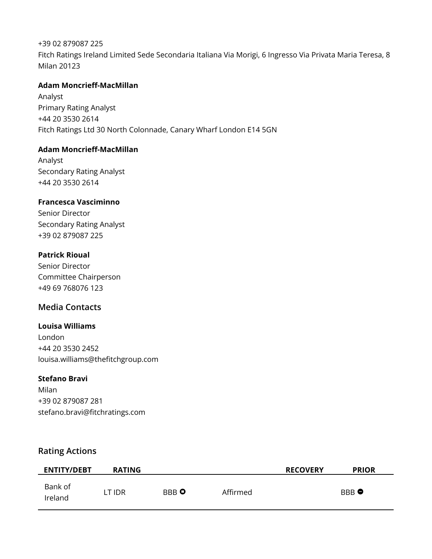+39 02 879087 225 Fitch Ratings Ireland Limited Sede Secondaria Italiana Via Morigi, 6 Ingresso Via Privata Maria Teresa, 8 Milan 20123

#### **Adam Moncrieff-MacMillan**

Analyst Primary Rating Analyst +44 20 3530 2614 Fitch Ratings Ltd 30 North Colonnade, Canary Wharf London E14 5GN

#### **Adam Moncrieff-MacMillan**

Analyst Secondary Rating Analyst +44 20 3530 2614

#### **Francesca Vasciminno**

Senior Director Secondary Rating Analyst +39 02 879087 225

#### **Patrick Rioual**

Senior Director Committee Chairperson +49 69 768076 123

## **Media Contacts**

#### **Louisa Williams**

London +44 20 3530 2452 louisa.williams@thefitchgroup.com

#### **Stefano Bravi**

Milan +39 02 879087 281 stefano.bravi@fitchratings.com

## **Rating Actions**

| <b>ENTITY/DEBT</b> | <b>RATING</b> |             |          | <b>RECOVERY</b> | <b>PRIOR</b> |
|--------------------|---------------|-------------|----------|-----------------|--------------|
| Bank of<br>lreland | LT IDR        | <b>BBBO</b> | Affirmed |                 | <b>BBB</b> ● |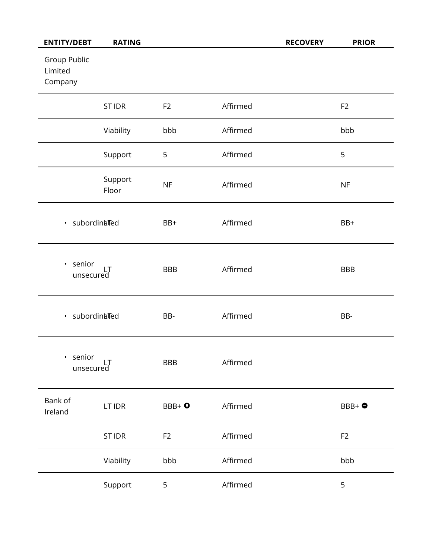| <b>ENTITY/DEBT</b>                 | <b>RATING</b>    |                |          | <b>RECOVERY</b> | <b>PRIOR</b>   |
|------------------------------------|------------------|----------------|----------|-----------------|----------------|
| Group Public<br>Limited<br>Company |                  |                |          |                 |                |
|                                    | <b>ST IDR</b>    | F <sub>2</sub> | Affirmed |                 | F <sub>2</sub> |
|                                    | Viability        | bbb            | Affirmed |                 | bbb            |
|                                    | Support          | 5              | Affirmed |                 | 5              |
|                                    | Support<br>Floor | NF             | Affirmed |                 | NF             |
| · subordinated                     |                  | BB+            | Affirmed |                 | BB+            |
| · senior<br>unsecured              |                  | <b>BBB</b>     | Affirmed |                 | <b>BBB</b>     |
| · subordinated                     |                  | BB-            | Affirmed |                 | BB-            |
| senior<br>$\bullet$<br>unsecured   |                  | <b>BBB</b>     | Affirmed |                 |                |
| Bank of<br>Ireland                 | LT IDR           | $BBB + 0$      | Affirmed |                 | BBB+ $\bullet$ |
|                                    | <b>ST IDR</b>    | F <sub>2</sub> | Affirmed |                 | F <sub>2</sub> |
|                                    | Viability        | bbb            | Affirmed |                 | bbb            |
|                                    | Support          | 5              | Affirmed |                 | 5              |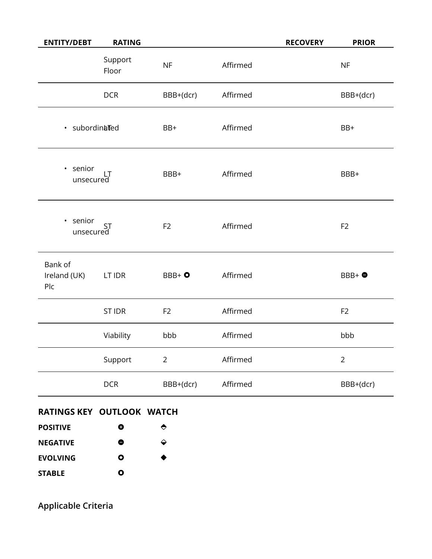| <b>ENTITY/DEBT</b>             | <b>RATING</b>    |                |          | <b>RECOVERY</b> | <b>PRIOR</b>   |
|--------------------------------|------------------|----------------|----------|-----------------|----------------|
|                                | Support<br>Floor | <b>NF</b>      | Affirmed |                 | NF             |
|                                | <b>DCR</b>       | BBB+(dcr)      | Affirmed |                 | BBB+(dcr)      |
| · subordinated                 |                  | BB+            | Affirmed |                 | BB+            |
| · senior<br>unsecured          |                  | BBB+           | Affirmed |                 | BBB+           |
| · senior<br>Sumor<br>unsecured |                  | F <sub>2</sub> | Affirmed |                 | F <sub>2</sub> |
| Bank of<br>Ireland (UK)<br>Plc | LT IDR           | $BBB+o$        | Affirmed |                 | $BBB+4$        |
|                                | <b>ST IDR</b>    | F <sub>2</sub> | Affirmed |                 | F <sub>2</sub> |
|                                | Viability        | bbb            | Affirmed |                 | bbb            |
|                                | Support          | $\overline{2}$ | Affirmed |                 | $\overline{2}$ |
|                                | <b>DCR</b>       | BBB+(dcr)      | Affirmed |                 | BBB+(dcr)      |

# **RATINGS KEY OUTLOOK WATCH**

| <b>POSITIVE</b> | O         | $\bullet$ |
|-----------------|-----------|-----------|
| <b>NEGATIVE</b> | 0         | ↩         |
| <b>EVOLVING</b> | Ο         | ◆         |
| <b>STABLE</b>   | $\bullet$ |           |

**Applicable Criteria**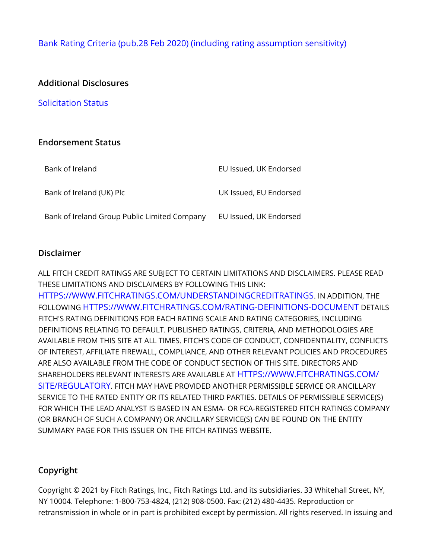[Bank Rating Criteria \(pub.28 Feb 2020\) \(including rating assumption sensitivity\)](https://app.fitchconnect.com/search/research/article/RPT_10110041)

## **Additional Disclosures**

[Solicitation Status](https://www.fitchratings.com/research/banks/fitch-revises-bank-of-ireland-group-outlook-to-stable-affirms-ratings-04-10-2021#solicitation-status)

#### **Endorsement Status**

| Bank of Ireland                              | EU Issued, UK Endorsed |
|----------------------------------------------|------------------------|
| Bank of Ireland (UK) Plc                     | UK Issued, EU Endorsed |
| Bank of Ireland Group Public Limited Company | EU Issued, UK Endorsed |

#### **Disclaimer**

ALL FITCH CREDIT RATINGS ARE SUBJECT TO CERTAIN LIMITATIONS AND DISCLAIMERS. PLEASE READ THESE LIMITATIONS AND DISCLAIMERS BY FOLLOWING THIS LINK: [HTTPS://WWW.FITCHRATINGS.COM/UNDERSTANDINGCREDITRATINGS](https://www.fitchratings.com/UNDERSTANDINGCREDITRATINGS). IN ADDITION, THE FOLLOWING [HTTPS://WWW.FITCHRATINGS.COM/RATING-DEFINITIONS-DOCUMENT](https://www.fitchratings.com/rating-definitions-document) DETAILS FITCH'S RATING DEFINITIONS FOR EACH RATING SCALE AND RATING CATEGORIES, INCLUDING DEFINITIONS RELATING TO DEFAULT. PUBLISHED RATINGS, CRITERIA, AND METHODOLOGIES ARE AVAILABLE FROM THIS SITE AT ALL TIMES. FITCH'S CODE OF CONDUCT, CONFIDENTIALITY, CONFLICTS OF INTEREST, AFFILIATE FIREWALL, COMPLIANCE, AND OTHER RELEVANT POLICIES AND PROCEDURES ARE ALSO AVAILABLE FROM THE CODE OF CONDUCT SECTION OF THIS SITE. DIRECTORS AND SHAREHOLDERS RELEVANT INTERESTS ARE AVAILABLE AT [HTTPS://WWW.FITCHRATINGS.COM/](https://www.fitchratings.com/site/regulatory) [SITE/REGULATORY](https://www.fitchratings.com/site/regulatory). FITCH MAY HAVE PROVIDED ANOTHER PERMISSIBLE SERVICE OR ANCILLARY SERVICE TO THE RATED ENTITY OR ITS RELATED THIRD PARTIES. DETAILS OF PERMISSIBLE SERVICE(S) FOR WHICH THE LEAD ANALYST IS BASED IN AN ESMA- OR FCA-REGISTERED FITCH RATINGS COMPANY (OR BRANCH OF SUCH A COMPANY) OR ANCILLARY SERVICE(S) CAN BE FOUND ON THE ENTITY SUMMARY PAGE FOR THIS ISSUER ON THE FITCH RATINGS WEBSITE.

## **Copyright**

Copyright © 2021 by Fitch Ratings, Inc., Fitch Ratings Ltd. and its subsidiaries. 33 Whitehall Street, NY, NY 10004. Telephone: 1-800-753-4824, (212) 908-0500. Fax: (212) 480-4435. Reproduction or retransmission in whole or in part is prohibited except by permission. All rights reserved. In issuing and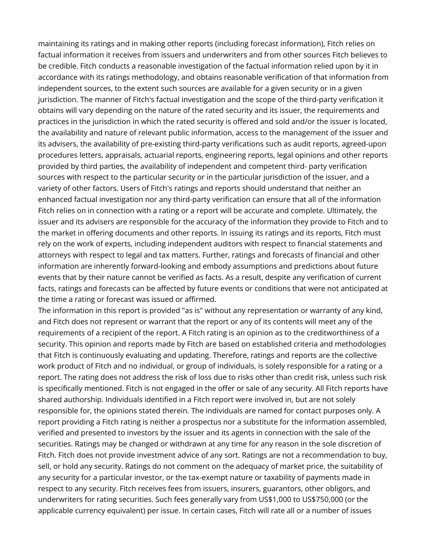maintaining its ratings and in making other reports (including forecast information), Fitch relies on factual information it receives from issuers and underwriters and from other sources Fitch believes to be credible. Fitch conducts a reasonable investigation of the factual information relied upon by it in accordance with its ratings methodology, and obtains reasonable verification of that information from independent sources, to the extent such sources are available for a given security or in a given jurisdiction. The manner of Fitch's factual investigation and the scope of the third-party verification it obtains will vary depending on the nature of the rated security and its issuer, the requirements and practices in the jurisdiction in which the rated security is offered and sold and/or the issuer is located, the availability and nature of relevant public information, access to the management of the issuer and its advisers, the availability of pre-existing third-party verifications such as audit reports, agreed-upon procedures letters, appraisals, actuarial reports, engineering reports, legal opinions and other reports provided by third parties, the availability of independent and competent third- party verification sources with respect to the particular security or in the particular jurisdiction of the issuer, and a variety of other factors. Users of Fitch's ratings and reports should understand that neither an enhanced factual investigation nor any third-party verification can ensure that all of the information Fitch relies on in connection with a rating or a report will be accurate and complete. Ultimately, the issuer and its advisers are responsible for the accuracy of the information they provide to Fitch and to the market in offering documents and other reports. In issuing its ratings and its reports, Fitch must rely on the work of experts, including independent auditors with respect to financial statements and attorneys with respect to legal and tax matters. Further, ratings and forecasts of financial and other information are inherently forward-looking and embody assumptions and predictions about future events that by their nature cannot be verified as facts. As a result, despite any verification of current facts, ratings and forecasts can be affected by future events or conditions that were not anticipated at the time a rating or forecast was issued or affirmed.

The information in this report is provided "as is" without any representation or warranty of any kind, and Fitch does not represent or warrant that the report or any of its contents will meet any of the requirements of a recipient of the report. A Fitch rating is an opinion as to the creditworthiness of a security. This opinion and reports made by Fitch are based on established criteria and methodologies that Fitch is continuously evaluating and updating. Therefore, ratings and reports are the collective work product of Fitch and no individual, or group of individuals, is solely responsible for a rating or a report. The rating does not address the risk of loss due to risks other than credit risk, unless such risk is specifically mentioned. Fitch is not engaged in the offer or sale of any security. All Fitch reports have shared authorship. Individuals identified in a Fitch report were involved in, but are not solely responsible for, the opinions stated therein. The individuals are named for contact purposes only. A report providing a Fitch rating is neither a prospectus nor a substitute for the information assembled, verified and presented to investors by the issuer and its agents in connection with the sale of the securities. Ratings may be changed or withdrawn at any time for any reason in the sole discretion of Fitch. Fitch does not provide investment advice of any sort. Ratings are not a recommendation to buy, sell, or hold any security. Ratings do not comment on the adequacy of market price, the suitability of any security for a particular investor, or the tax-exempt nature or taxability of payments made in respect to any security. Fitch receives fees from issuers, insurers, guarantors, other obligors, and underwriters for rating securities. Such fees generally vary from US\$1,000 to US\$750,000 (or the applicable currency equivalent) per issue. In certain cases, Fitch will rate all or a number of issues